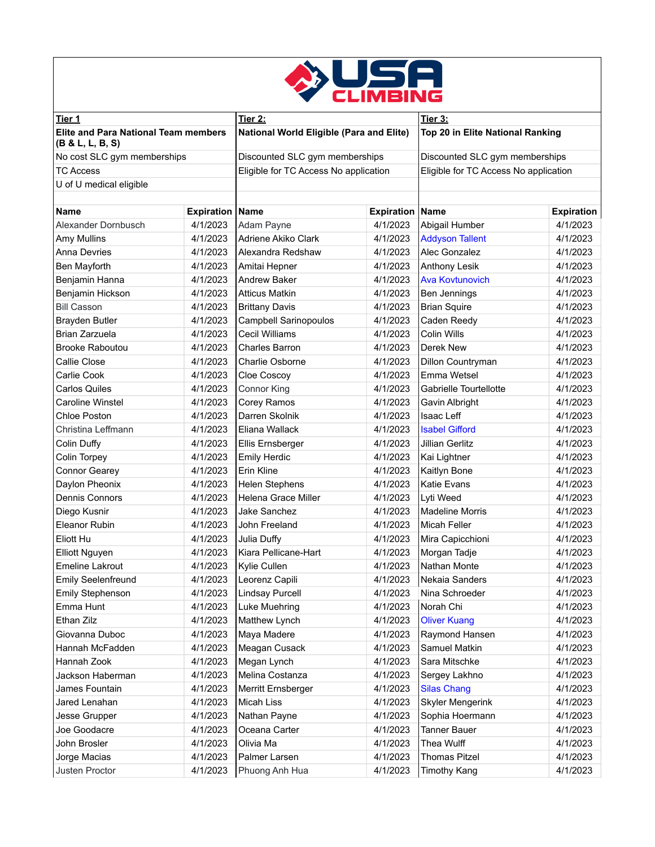

| <u>Tier 1</u>                                                   |                        | Tier 2:                                         |                        | Tier 3:                               |                   |
|-----------------------------------------------------------------|------------------------|-------------------------------------------------|------------------------|---------------------------------------|-------------------|
| <b>Elite and Para National Team members</b><br>(B & L, L, B, S) |                        | <b>National World Eligible (Para and Elite)</b> |                        | Top 20 in Elite National Ranking      |                   |
| No cost SLC gym memberships                                     |                        | Discounted SLC gym memberships                  |                        | Discounted SLC gym memberships        |                   |
| <b>TC Access</b>                                                |                        | Eligible for TC Access No application           |                        | Eligible for TC Access No application |                   |
| U of U medical eligible                                         |                        |                                                 |                        |                                       |                   |
|                                                                 |                        |                                                 |                        |                                       |                   |
| <b>Name</b>                                                     | <b>Expiration Name</b> |                                                 | <b>Expiration Name</b> |                                       | <b>Expiration</b> |
| Alexander Dornbusch                                             | 4/1/2023               | Adam Payne                                      | 4/1/2023               | Abigail Humber                        | 4/1/2023          |
| Amy Mullins                                                     | 4/1/2023               | Adriene Akiko Clark                             | 4/1/2023               | <b>Addyson Tallent</b>                | 4/1/2023          |
| <b>Anna Devries</b>                                             | 4/1/2023               | Alexandra Redshaw                               | 4/1/2023               | Alec Gonzalez                         | 4/1/2023          |
| Ben Mayforth                                                    | 4/1/2023               | Amitai Hepner                                   | 4/1/2023               | <b>Anthony Lesik</b>                  | 4/1/2023          |
| Benjamin Hanna                                                  | 4/1/2023               | <b>Andrew Baker</b>                             | 4/1/2023               | <b>Ava Kovtunovich</b>                | 4/1/2023          |
| Benjamin Hickson                                                | 4/1/2023               | <b>Atticus Matkin</b>                           | 4/1/2023               | Ben Jennings                          | 4/1/2023          |
| <b>Bill Casson</b>                                              | 4/1/2023               | <b>Brittany Davis</b>                           | 4/1/2023               | <b>Brian Squire</b>                   | 4/1/2023          |
| <b>Brayden Butler</b>                                           | 4/1/2023               | Campbell Sarinopoulos                           | 4/1/2023               | Caden Reedy                           | 4/1/2023          |
| Brian Zarzuela                                                  | 4/1/2023               | <b>Cecil Williams</b>                           | 4/1/2023               | Colin Wills                           | 4/1/2023          |
| <b>Brooke Raboutou</b>                                          | 4/1/2023               | Charles Barron                                  | 4/1/2023               | Derek New                             | 4/1/2023          |
| Callie Close                                                    | 4/1/2023               | <b>Charlie Osborne</b>                          | 4/1/2023               | Dillon Countryman                     | 4/1/2023          |
| Carlie Cook                                                     | 4/1/2023               | Cloe Coscoy                                     | 4/1/2023               | Emma Wetsel                           | 4/1/2023          |
| <b>Carlos Quiles</b>                                            | 4/1/2023               | Connor King                                     | 4/1/2023               | Gabrielle Tourtellotte                | 4/1/2023          |
| Caroline Winstel                                                | 4/1/2023               | Corey Ramos                                     | 4/1/2023               | Gavin Albright                        | 4/1/2023          |
| <b>Chloe Poston</b>                                             | 4/1/2023               | Darren Skolnik                                  | 4/1/2023               | Isaac Leff                            | 4/1/2023          |
| Christina Leffmann                                              | 4/1/2023               | Eliana Wallack                                  | 4/1/2023               | <b>Isabel Gifford</b>                 | 4/1/2023          |
| Colin Duffy                                                     | 4/1/2023               | Ellis Ernsberger                                | 4/1/2023               | <b>Jillian Gerlitz</b>                | 4/1/2023          |
| Colin Torpey                                                    | 4/1/2023               | <b>Emily Herdic</b>                             | 4/1/2023               | Kai Lightner                          | 4/1/2023          |
| Connor Gearey                                                   | 4/1/2023               | Erin Kline                                      | 4/1/2023               | Kaitlyn Bone                          | 4/1/2023          |
| Daylon Pheonix                                                  | 4/1/2023               | <b>Helen Stephens</b>                           | 4/1/2023               | Katie Evans                           | 4/1/2023          |
| <b>Dennis Connors</b>                                           | 4/1/2023               | Helena Grace Miller                             | 4/1/2023               | Lyti Weed                             | 4/1/2023          |
| Diego Kusnir                                                    | 4/1/2023               | Jake Sanchez                                    | 4/1/2023               | <b>Madeline Morris</b>                | 4/1/2023          |
| Eleanor Rubin                                                   | 4/1/2023               | John Freeland                                   | 4/1/2023               | <b>Micah Feller</b>                   | 4/1/2023          |
| Eliott Hu                                                       | 4/1/2023               | Julia Duffy                                     | 4/1/2023               | Mira Capicchioni                      | 4/1/2023          |
| <b>Elliott Nguyen</b>                                           | 4/1/2023               | Kiara Pellicane-Hart                            | 4/1/2023               | Morgan Tadje                          | 4/1/2023          |
| <b>Emeline Lakrout</b>                                          | 4/1/2023               | Kylie Cullen                                    | 4/1/2023               | Nathan Monte                          | 4/1/2023          |
| <b>Emily Seelenfreund</b>                                       | 4/1/2023               | Leorenz Capili                                  | 4/1/2023               | Nekaia Sanders                        | 4/1/2023          |
| Emily Stephenson                                                | 4/1/2023               | <b>Lindsay Purcell</b>                          | 4/1/2023               | Nina Schroeder                        | 4/1/2023          |
| Emma Hunt                                                       | 4/1/2023               | Luke Muehring                                   | 4/1/2023               | Norah Chi                             | 4/1/2023          |
| Ethan Zilz                                                      | 4/1/2023               | Matthew Lynch                                   | 4/1/2023               | <b>Oliver Kuang</b>                   | 4/1/2023          |
| Giovanna Duboc                                                  | 4/1/2023               | Maya Madere                                     | 4/1/2023               | Raymond Hansen                        | 4/1/2023          |
| Hannah McFadden                                                 | 4/1/2023               | Meagan Cusack                                   | 4/1/2023               | Samuel Matkin                         | 4/1/2023          |
| Hannah Zook                                                     | 4/1/2023               | Megan Lynch                                     | 4/1/2023               | Sara Mitschke                         | 4/1/2023          |
| Jackson Haberman                                                | 4/1/2023               | Melina Costanza                                 | 4/1/2023               | Sergey Lakhno                         | 4/1/2023          |
| James Fountain                                                  | 4/1/2023               | Merritt Ernsberger                              | 4/1/2023               | <b>Silas Chang</b>                    | 4/1/2023          |
| Jared Lenahan                                                   | 4/1/2023               | Micah Liss                                      | 4/1/2023               | <b>Skyler Mengerink</b>               | 4/1/2023          |
| Jesse Grupper                                                   | 4/1/2023               | Nathan Payne                                    | 4/1/2023               | Sophia Hoermann                       | 4/1/2023          |
| Joe Goodacre                                                    | 4/1/2023               | Oceana Carter                                   | 4/1/2023               | <b>Tanner Bauer</b>                   | 4/1/2023          |
| John Brosler                                                    | 4/1/2023               | Olivia Ma                                       | 4/1/2023               | Thea Wulff                            | 4/1/2023          |
| Jorge Macias                                                    | 4/1/2023               | Palmer Larsen                                   | 4/1/2023               | <b>Thomas Pitzel</b>                  | 4/1/2023          |
| Justen Proctor                                                  | 4/1/2023               | Phuong Anh Hua                                  | 4/1/2023               | <b>Timothy Kang</b>                   | 4/1/2023          |